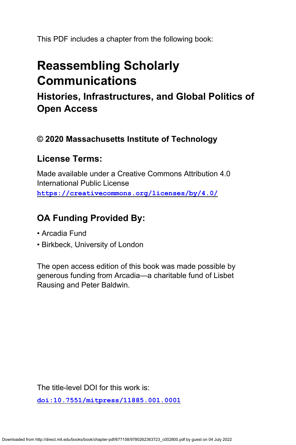This PDF includes a chapter from the following book:

# **Reassembling Scholarly Communications**

**Histories, Infrastructures, and Global Politics of Open Access**

# **© 2020 Massachusetts Institute of Technology**

# **License Terms:**

Made available under a Creative Commons Attribution 4.0 International Public License **<https://creativecommons.org/licenses/by/4.0/>**

# **OA Funding Provided By:**

- Arcadia Fund
- Birkbeck, University of London

The open access edition of this book was made possible by generous funding from Arcadia—a charitable fund of Lisbet Rausing and Peter Baldwin.

The title-level DOI for this work is:

**[doi:10.7551/mitpress/11885.001.0001](https://doi.org/10.7551/mitpress/11885.001.0001)**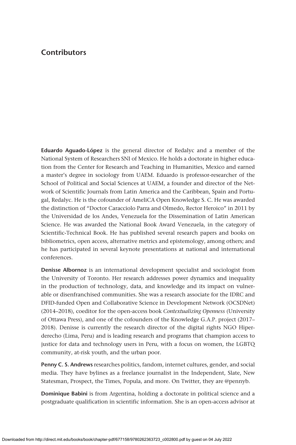**Eduardo Aguado-López** is the general director of Redalyc and a member of the National System of Researchers SNI of Mexico. He holds a doctorate in higher education from the Center for Research and Teaching in Humanities, Mexico and earned a master's degree in sociology from UAEM. Eduardo is professor-researcher of the School of Political and Social Sciences at UAEM, a founder and director of the Network of Scientific Journals from Latin America and the Caribbean, Spain and Portugal, Redalyc. He is the cofounder of AmeliCA Open Knowledge S. C. He was awarded the distinction of "Doctor Caracciolo Parra and Olmedo, Rector Heroico" in 2011 by the Universidad de los Andes, Venezuela for the Dissemination of Latin American Science. He was awarded the National Book Award Venezuela, in the category of Scientific-Technical Book. He has published several research papers and books on bibliometrics, open access, alternative metrics and epistemology, among others; and he has participated in several keynote presentations at national and international conferences.

**Denisse Albornoz** is an international development specialist and sociologist from the University of Toronto. Her research addresses power dynamics and inequality in the production of technology, data, and knowledge and its impact on vulnerable or disenfranchised communities. She was a research associate for the IDRC and DFID-funded Open and Collaborative Science in Development Network (OCSDNet) (2014–2018), coeditor for the open-access book *Contextualizing Openness* (University of Ottawa Press), and one of the cofounders of the Knowledge G.A.P. project (2017– 2018). Denisse is currently the research director of the digital rights NGO Hiperderecho (Lima, Peru) and is leading research and programs that champion access to justice for data and technology users in Peru, with a focus on women, the LGBTQ community, at-risk youth, and the urban poor.

**Penny C. S. Andrews** researches politics, fandom, internet cultures, gender, and social media. They have bylines as a freelance journalist in the Independent, Slate, New Statesman, Prospect, the Times, Popula, and more. On Twitter, they are @pennyb.

**Dominique Babini** is from Argentina, holding a doctorate in political science and a postgraduate qualification in scientific information. She is an open-access advisor at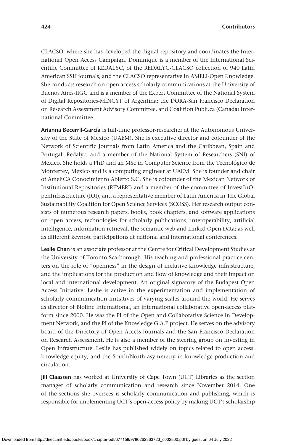CLACSO, where she has developed the digital repository and coordinates the International Open Access Campaign. Dominique is a member of the International Scientific Committee of REDALYC, of the REDALYC-CLACSO collection of 940 Latin American SSH journals, and the CLACSO representative in AMELI-Open Knowledge. She conducts research on open access scholarly communications at the University of Buenos Aires-IIGG and is a member of the Expert Committee of the National System of Digital Repositories-MINCYT of Argentina; the DORA-San Francisco Declaration on Research Assessment Advisory Committee, and Coalition Publi.ca (Canada) International Committee.

**Arianna Becerril-García** is full-time professor-researcher at the Autonomous University of the State of Mexico (UAEM). She is executive director and cofounder of the Network of Scientific Journals from Latin America and the Caribbean, Spain and Portugal, Redalyc, and a member of the National System of Researchers (SNI) of Mexico. She holds a PhD and an MSc in Computer Science from the Tecnológico de Monterrey, Mexico and is a computing engineer at UAEM. She is founder and chair of AmeliCA Conocimiento Abierto S.C. She is cofounder of the Mexican Network of Institutional Repositories (REMERI) and a member of the committee of InvestInOpenInfrastructure (IOI), and a representative member of Latin America in The Global Sustainability Coalition for Open Science Services (SCOSS). Her research output consists of numerous research papers, books, book chapters, and software applications on open access, technologies for scholarly publications, interoperability, artificial intelligence, information retrieval, the semantic web and Linked Open Data; as well as different keynote participations at national and international conferences.

**Leslie Chan** is an associate professor at the Centre for Critical Development Studies at the University of Toronto Scarborough. His teaching and professional practice centers on the role of "openness" in the design of inclusive knowledge infrastructure, and the implications for the production and flow of knowledge and their impact on local and international development. An original signatory of the Budapest Open Access Initiative, Leslie is active in the experimentation and implementation of scholarly communication initiatives of varying scales around the world. He serves as director of Bioline International, an international collaborative open-access platform since 2000. He was the PI of the Open and Collaborative Science in Development Network, and the PI of the Knowledge G.A.P project. He serves on the advisory board of the Directory of Open Access Journals and the San Francisco Declaration on Research Assessment. He is also a member of the steering group on Investing in Open Infrastructure. Leslie has published widely on topics related to open access, knowledge equity, and the South/North asymmetry in knowledge production and circulation.

**Jill Claassen** has worked at University of Cape Town (UCT) Libraries as the section manager of scholarly communication and research since November 2014. One of the sections she oversees is scholarly communication and publishing, which is responsible for implementing UCT's open-access policy by making UCT's scholarship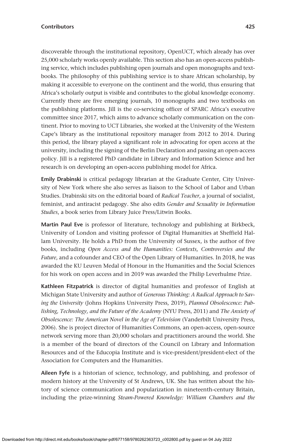discoverable through the institutional repository, OpenUCT, which already has over 25,000 scholarly works openly available. This section also has an open-access publishing service, which includes publishing open journals and open monographs and textbooks. The philosophy of this publishing service is to share African scholarship, by making it accessible to everyone on the continent and the world, thus ensuring that Africa's scholarly output is visible and contributes to the global knowledge economy. Currently there are five emerging journals, 10 monographs and two textbooks on the publishing platforms. Jill is the co-servicing officer of SPARC Africa's executive committee since 2017, which aims to advance scholarly communication on the continent. Prior to moving to UCT Libraries, she worked at the University of the Western Cape's library as the institutional repository manager from 2012 to 2014. During this period, the library played a significant role in advocating for open access at the university, including the signing of the Berlin Declaration and passing an open-access policy. Jill is a registered PhD candidate in Library and Information Science and her research is on developing an open-access publishing model for Africa.

**Emily Drabinski** is critical pedagogy librarian at the Graduate Center, City University of New York where she also serves as liaison to the School of Labor and Urban Studies. Drabinski sits on the editorial board of *Radical Teacher*, a journal of socialist, feminist, and antiracist pedagogy. She also edits *Gender and Sexuality in Information Studies*, a book series from Library Juice Press/Litwin Books.

**Martin Paul Eve** is professor of literature, technology and publishing at Birkbeck, University of London and visiting professor of Digital Humanities at Sheffield Hallam University. He holds a PhD from the University of Sussex, is the author of five books, including *Open Access and the Humanities: Contexts, Controversies and the Future*, and a cofounder and CEO of the Open Library of Humanities. In 2018, he was awarded the KU Leuven Medal of Honour in the Humanities and the Social Sciences for his work on open access and in 2019 was awarded the Philip Leverhulme Prize.

**Kathleen Fitzpatrick** is director of digital humanities and professor of English at Michigan State University and author of *Generous Thinking: A Radical Approach to Saving the University* (Johns Hopkins University Press, 2019), *Planned Obsolescence: Publishing, Technology, and the Future of the Academy* (NYU Press, 2011) and *The Anxiety of Obsolescence: The American Novel in the Age of Television* (Vanderbilt University Press, 2006). She is project director of Humanities Commons, an open-access, open-source network serving more than 20,000 scholars and practitioners around the world. She is a member of the board of directors of the Council on Library and Information Resources and of the Educopia Institute and is vice-president/president-elect of the Association for Computers and the Humanities.

**Aileen Fyfe** is a historian of science, technology, and publishing, and professor of modern history at the University of St Andrews, UK. She has written about the history of science communication and popularization in nineteenth-century Britain, including the prize-winning *Steam-Powered Knowledge: William Chambers and the*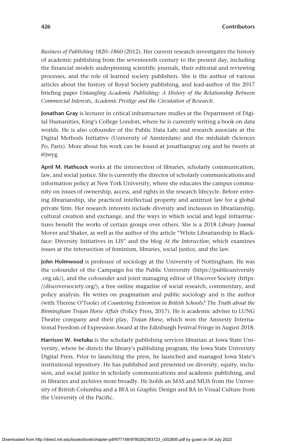*Business of Publishing 1820–1860* (2012). Her current research investigates the history of academic publishing from the seventeenth century to the present day, including the financial models underpinning scientific journals, their editorial and reviewing processes, and the role of learned society publishers. She is the author of various articles about the history of Royal Society publishing, and lead-author of the 2017 briefing paper *Untangling Academic Publishing: A History of the Relationship Between Commercial Interests, Academic Prestige and the Circulation of Research*.

**Jonathan Gray** is lecturer in critical infrastructure studies at the Department of Digital Humanities, King's College London, where he is currently writing a book on data worlds. He is also cofounder of the Public Data Lab; and research associate at the Digital Methods Initiative (University of Amsterdam) and the médialab (Sciences Po, Paris). More about his work can be found at jonathangray.org and he tweets at @jwyg.

**April M. Hathcock** works at the intersection of libraries, scholarly communication, law, and social justice. She is currently the director of scholarly communications and information policy at New York University, where she educates the campus community on issues of ownership, access, and rights in the research lifecycle. Before entering librarianship, she practiced intellectual property and antitrust law for a global private firm. Her research interests include diversity and inclusion in librarianship, cultural creation and exchange, and the ways in which social and legal infrastructures benefit the works of certain groups over others. She is a 2018 *Library Journal* Mover and Shaker, as well as the author of the article "White Librarianship in Blackface: Diversity Initiatives in LIS" and the blog *At the Intersection*, which examines issues at the intersection of feminism, libraries, social justice, and the law.

**John Holmwood** is professor of sociology at the University of Nottingham. He was the cofounder of the Campaign for the Public University ([https://publicuniversity](https://publicuniversity.org.uk/) [.org.uk/\)](https://publicuniversity.org.uk/), and the cofounder and joint managing editor of Discover Society ([https:](https://discoversociety.org/) [//discoversociety.org/](https://discoversociety.org/)), a free online magazine of social research, commentary, and policy analysis. He writes on pragmatism and public sociology and is the author (with Therese O'Toole) of *Countering Extremism in British Schools? The Truth about the Birmingham Trojan Horse Affair* (Policy Press, 2017). He is academic adviser to LUNG Theatre company and their play, *Trojan Horse*, which won the Amnesty International Freedom of Expression Award at the Edinburgh Festival Fringe in August 2018.

**Harrison W. Inefuku** is the scholarly publishing services librarian at Iowa State University, where he directs the library's publishing program, the Iowa State University Digital Press. Prior to launching the press, he launched and managed Iowa State's institutional repository. He has published and presented on diversity, equity, inclusion, and social justice in scholarly communications and academic publishing, and in libraries and archives more broadly. He holds an MAS and MLIS from the University of British Columbia and a BFA in Graphic Design and BA in Visual Culture from the University of the Pacific.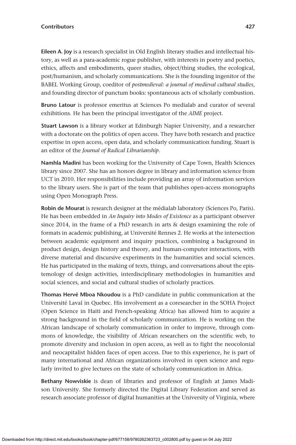**Eileen A. Joy** is a research specialist in Old English literary studies and intellectual history, as well as a para-academic rogue publisher, with interests in poetry and poetics, ethics, affects and embodiments, queer studies, object/thing studies, the ecological, post/humanism, and scholarly communications. She is the founding ingenitor of the BABEL Working Group, coeditor of *postmedieval: a journal of medieval cultural studies*, and founding director of punctum books: spontaneous acts of scholarly combustion.

**Bruno Latour** is professor emeritus at Sciences Po medialab and curator of several exhibitions. He has been the principal investigator of the *AIME* project.

**Stuart Lawson** is a library worker at Edinburgh Napier University, and a researcher with a doctorate on the politics of open access. They have both research and practice expertise in open access, open data, and scholarly communication funding. Stuart is an editor of the *Journal of Radical Librarianship*.

**Namhla Madini** has been working for the University of Cape Town, Health Sciences library since 2007. She has an honors degree in library and information science from UCT in 2010. Her responsibilities include providing an array of information services to the library users. She is part of the team that publishes open-access monographs using Open Monograph Press.

**Robin de Mourat** is research designer at the médialab laboratory (Sciences Po, Paris). He has been embedded in *An Inquiry into Modes of Existence* as a participant observer since 2014, in the frame of a PhD research in arts & design examining the role of formats in academic publishing, at Université Rennes 2. He works at the intersection between academic equipment and inquiry practices, combining a background in product design, design history and theory, and human-computer interactions, with diverse material and discursive experiments in the humanities and social sciences. He has participated in the making of texts, things, and conversations about the epistemology of design activities, interdisciplinary methodologies in humanities and social sciences, and social and cultural studies of scholarly practices.

**Thomas Hervé Mboa Nkoudou** is a PhD candidate in public communication at the Université Laval in Quebec. His involvement as a coresearcher in the SOHA Project (Open Science in Haiti and French-speaking Africa) has allowed him to acquire a strong background in the field of scholarly communication. He is working on the African landscape of scholarly communication in order to improve, through commons of knowledge, the visibility of African researchers on the scientific web, to promote diversity and inclusion in open access, as well as to fight the neocolonial and neocapitalist hidden faces of open access. Due to this experience, he is part of many international and African organizations involved in open science and regularly invited to give lectures on the state of scholarly communication in Africa.

**Bethany Nowviskie** is dean of libraries and professor of English at James Madison University. She formerly directed the Digital Library Federation and served as research associate professor of digital humanities at the University of Virginia, where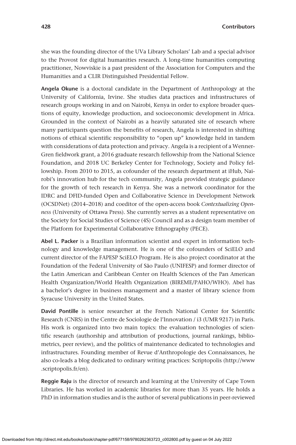she was the founding director of the UVa Library Scholars' Lab and a special advisor to the Provost for digital humanities research. A long-time humanities computing practitioner, Nowviskie is a past president of the Association for Computers and the Humanities and a CLIR Distinguished Presidential Fellow.

**Angela Okune** is a doctoral candidate in the Department of Anthropology at the University of California, Irvine. She studies data practices and infrastructures of research groups working in and on Nairobi, Kenya in order to explore broader questions of equity, knowledge production, and socioeconomic development in Africa. Grounded in the context of Nairobi as a heavily saturated site of research where many participants question the benefits of research, Angela is interested in shifting notions of ethical scientific responsibility to "open up" knowledge held in tandem with considerations of data protection and privacy. Angela is a recipient of a Wenner-Gren fieldwork grant, a 2016 graduate research fellowship from the National Science Foundation, and 2018 UC Berkeley Center for Technology, Society and Policy fellowship. From 2010 to 2015, as cofounder of the research department at iHub, Nairobi's innovation hub for the tech community, Angela provided strategic guidance for the growth of tech research in Kenya. She was a network coordinator for the IDRC and DFID-funded Open and Collaborative Science in Development Network (OCSDNet) (2014–2018) and coeditor of the open-access book *Contextualizing Openness* (University of Ottawa Press). She currently serves as a student representative on the Society for Social Studies of Science (4S) Council and as a design team member of the Platform for Experimental Collaborative Ethnography (PECE).

**Abel L. Packer** is a Brazilian information scientist and expert in information technology and knowledge management. He is one of the cofounders of SciELO and current director of the FAPESP SciELO Program. He is also project coordinator at the Foundation of the Federal University of São Paulo (UNIFESP) and former director of the Latin American and Caribbean Center on Health Sciences of the Pan American Health Organization/World Health Organization (BIREME/PAHO/WHO). Abel has a bachelor's degree in business management and a master of library science from Syracuse University in the United States.

**David Pontille** is senior researcher at the French National Center for Scientific Research (CNRS) in the Centre de Sociologie de l'Innovation / i3 (UMR 9217) in Paris. His work is organized into two main topics: the evaluation technologies of scientific research (authorship and attribution of productions, journal rankings, bibliometrics, peer review), and the politics of maintenance dedicated to technologies and infrastructures. Founding member of Revue d'Anthropologie des Connaissances, he also co-leads a blog dedicated to ordinary writing practices: Scriptopolis ([http://www](http://www.scriptopolis.fr/en) [.scriptopolis.fr/en](http://www.scriptopolis.fr/en)).

**Reggie Raju** is the director of research and learning at the University of Cape Town Libraries. He has worked in academic libraries for more than 35 years. He holds a PhD in information studies and is the author of several publications in peer-reviewed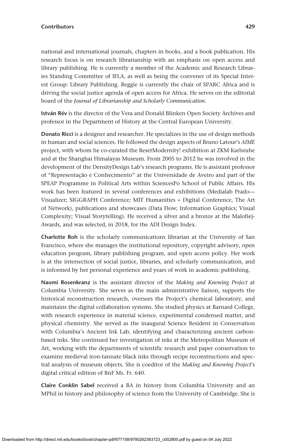national and international journals, chapters in books, and a book publication. His research focus is on research librarianship with an emphasis on open access and library publishing. He is currently a member of the Academic and Research Libraries Standing Committee of IFLA, as well as being the convener of its Special Interest Group: Library Publishing. Reggie is currently the chair of SPARC Africa and is driving the social justice agenda of open access for Africa. He serves on the editorial board of the *Journal of Librarianship and Scholarly Communication*.

**István Rév** is the director of the Vera and Donald Blinken Open Society Archives and professor in the Department of History at the Central European University.

**Donato Ricci** is a designer and researcher. He specializes in the use of design methods in human and social sciences. He followed the design aspects of Bruno Latour's *AIME* project, with whom he co-curated the ResetModernity! exhibition at ZKM Karlsruhe and at the Shanghai Himalayas Museum. From 2005 to 2012 he was involved in the development of the DensityDesign Lab's research programs. He is assistant professor of "Representação e Conhecimento" at the Universidade de Aveiro and part of the SPEAP Programme in Political Arts within SciencesPo School of Public Affairs. His work has been featured in several conferences and exhibitions (Medialab Prado— Visualizer; SIGGRAPH Conference; MIT Humanities + Digital Conference, The Art of Network), publications and showcases (Data Flow; Information Graphics; Visual Complexity; Visual Storytelling). He received a silver and a bronze at the Malofiej-Awards, and was selected, in 2018, for the ADI Design Index.

**Charlotte Roh** is the scholarly communications librarian at the University of San Francisco, where she manages the institutional repository, copyright advisory, open education program, library publishing program, and open access policy. Her work is at the intersection of social justice, libraries, and scholarly communication, and is informed by her personal experience and years of work in academic publishing.

**Naomi Rosenkranz** is the assistant director of the *Making and Knowing Project* at Columbia University. She serves as the main administrative liaison, supports the historical reconstruction research, oversees the Project's chemical laboratory, and maintains the digital collaboration systems. She studied physics at Barnard College, with research experience in material science, experimental condensed matter, and physical chemistry. She served as the inaugural Science Resident in Conservation with Columbia's Ancient Ink Lab, identifying and characterizing ancient carbonbased inks. She continued her investigation of inks at the Metropolitan Museum of Art, working with the departments of scientific research and paper conservation to examine medieval iron-tannate black inks through recipe reconstructions and spectral analysis of museum objects. She is coeditor of the *Making and Knowing Project*'s digital critical edition of BnF Ms. Fr. 640.

**Claire Conklin Sabel** received a BA in history from Columbia University and an MPhil in history and philosophy of science from the University of Cambridge. She is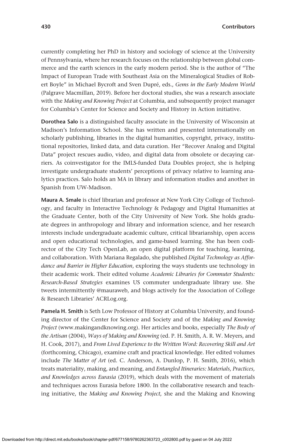currently completing her PhD in history and sociology of science at the University of Pennsylvania, where her research focuses on the relationship between global commerce and the earth sciences in the early modern period. She is the author of "The Impact of European Trade with Southeast Asia on the Mineralogical Studies of Robert Boyle" in Michael Bycroft and Sven Dupré, eds., *Gems in the Early Modern World* (Palgrave Macmillan, 2019). Before her doctoral studies, she was a research associate with the *Making and Knowing Project* at Columbia, and subsequently project manager for Columbia's Center for Science and Society and History in Action initiative.

**Dorothea Salo** is a distinguished faculty associate in the University of Wisconsin at Madison's Information School. She has written and presented internationally on scholarly publishing, libraries in the digital humanities, copyright, privacy, institutional repositories, linked data, and data curation. Her "Recover Analog and Digital Data" project rescues audio, video, and digital data from obsolete or decaying carriers. As coinvestigator for the IMLS-funded Data Doubles project, she is helping investigate undergraduate students' perceptions of privacy relative to learning analytics practices. Salo holds an MA in library and information studies and another in Spanish from UW-Madison.

**Maura A. Smale** is chief librarian and professor at New York City College of Technology, and faculty in Interactive Technology & Pedagogy and Digital Humanities at the Graduate Center, both of the City University of New York. She holds graduate degrees in anthropology and library and information science, and her research interests include undergraduate academic culture, critical librarianship, open access and open educational technologies, and game-based learning. She has been codirector of the City Tech OpenLab, an open digital platform for teaching, learning, and collaboration. With Mariana Regalado, she published *Digital Technology as Affordance and Barrier in Higher Education*, exploring the ways students use technology in their academic work. Their edited volume *Academic Libraries for Commuter Students: Research-Based Strategies* examines US commuter undergraduate library use. She tweets intermittently @mauraweb, and blogs actively for the Association of College & Research Libraries' ACRLog.org.

**Pamela H. Smith** is Seth Low Professor of History at Columbia University, and founding director of the Center for Science and Society and of the *Making and Knowing Project* ([www.makingandknowing.org\)](http://www.makingandknowing.org). Her articles and books, especially *The Body of the Artisan* (2004), *Ways of Making and Knowing* (ed. P. H. Smith, A. R. W. Meyers, and H. Cook, 2017), and *From Lived Experience to the Written Word: Recovering Skill and Art* (forthcoming, Chicago), examine craft and practical knowledge. Her edited volumes include *The Matter of Art* (ed. C. Anderson, A. Dunlop, P. H. Smith, 2016), which treats materiality, making, and meaning, and *Entangled Itineraries: Materials, Practices, and Knowledges across Eurasia* (2019), which deals with the movement of materials and techniques across Eurasia before 1800. In the collaborative research and teaching initiative, the *Making and Knowing Project*, she and the Making and Knowing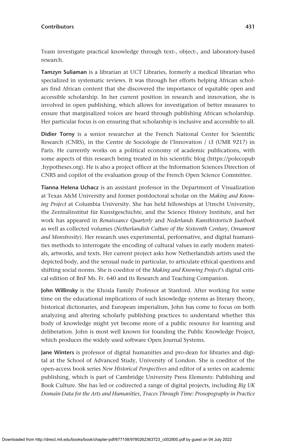Team investigate practical knowledge through text-, object-, and laboratory-based research.

**Tamzyn Suliaman** is a librarian at UCT Libraries, formerly a medical librarian who specialized in systematic reviews. It was through her efforts helping African scholars find African content that she discovered the importance of equitable open and accessible scholarship. In her current position in research and innovation, she is involved in open publishing, which allows for investigation of better measures to ensure that marginalized voices are heard through publishing African scholarship. Her particular focus is on ensuring that scholarship is inclusive and accessible to all.

**Didier Torny** is a senior researcher at the French National Center for Scientific Research (CNRS), in the Centre de Sociologie de l'Innovation / i3 (UMR 9217) in Paris. He currently works on a political economy of academic publications, with some aspects of this research being treated in his scientific blog [\(https://polecopub](https://polecopub.hypotheses.org) [.hypotheses.org\)](https://polecopub.hypotheses.org). He is also a project officer at the Information Sciences Direction of CNRS and copilot of the evaluation group of the French Open Science Committee.

**Tianna Helena Uchacz** is an assistant professor in the Department of Visualization at Texas A&M University and former postdoctoral scholar on the *Making and Knowing Project* at Columbia University. She has held fellowships at Utrecht University, the Zentralinstitut für Kunstgeschichte, and the Science History Institute, and her work has appeared in *Renaissance Quarterly* and *Nederlands Kunsthistorisch Jaarboek* as well as collected volumes (*Netherlandish Culture of the Sixteenth Century*, *Ornament and Monstrosity*). Her research uses experimental, performative, and digital humanities methods to interrogate the encoding of cultural values in early modern materials, artworks, and texts. Her current project asks how Netherlandish artists used the depicted body, and the sensual nude in particular, to articulate ethical questions and shifting social norms. She is coeditor of the *Making and Knowing Project*'s digital critical edition of BnF Ms. Fr. 640 and its Research and Teaching Companion.

**John Willinsky** is the Khosla Family Professor at Stanford. After working for some time on the educational implications of such knowledge systems as literary theory, historical dictionaries, and European imperialism, John has come to focus on both analyzing and altering scholarly publishing practices to understand whether this body of knowledge might yet become more of a public resource for learning and deliberation. John is most well known for founding the Public Knowledge Project, which produces the widely used software Open Journal Systems.

**Jane Winters** is professor of digital humanities and pro-dean for libraries and digital at the School of Advanced Study, University of London. She is coeditor of the open-access book series *New Historical Perspectives* and editor of a series on academic publishing, which is part of Cambridge University Press Elements: Publishing and Book Culture. She has led or codirected a range of digital projects, including *Big UK Domain Data for the Arts and Humanities*, *Traces Through Time: Prosopography in Practice*